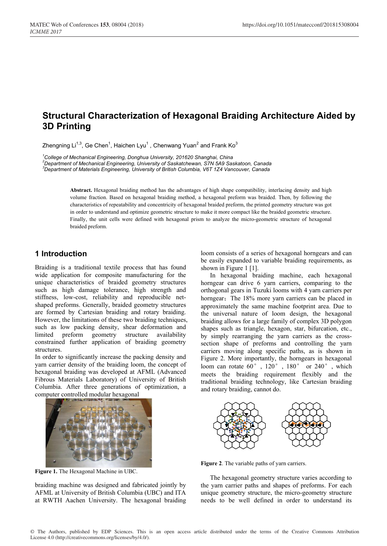# **Structural Characterization of Hexagonal Braiding Architecture Aided by 3D Printing**

Zhengning Li<sup>1,3</sup>, Ge Chen<sup>1</sup>, Haichen Lyu<sup>1</sup> , Chenwang Yuan<sup>2</sup> and Frank Ko<sup>3</sup>

*1 College of Mechanical Engineering, Donghua University, 201620 Shanghai, China <sup>2</sup>*

*Department of Mechanical Engineering, University of Saskatchewan, S7N 5A9 Saskatoon, Canada <sup>3</sup>*

*Department of Materials Engineering, University of British Columbia, V6T 1Z4 Vancouver, Canada*

**Abstract.** Hexagonal braiding method has the advantages of high shape compatibility, interlacing density and high volume fraction. Based on hexagonal braiding method, a hexagonal preform was braided. Then, by following the characteristics of repeatability and concentricity of hexagonal braided preform, the printed geometry structure was got in order to understand and optimize geometric structure to make it more compact like the braided geometric structure. Finally, the unit cells were defined with hexagonal prism to analyze the micro-geometric structure of hexagonal braided preform.

## **1 Introduction**

Braiding is a traditional textile process that has found wide application for composite manufacturing for the unique characteristics of braided geometry structures such as high damage tolerance, high strength and stiffness, low-cost, reliability and reproducible netshaped preforms. Generally, braided geometry structures are formed by Cartesian braiding and rotary braiding. However, the limitations of these two braiding techniques, such as low packing density, shear deformation and limited preform geometry structure availability constrained further application of braiding geometry structures.

In order to significantly increase the packing density and yarn carrier density of the braiding loom, the concept of hexagonal braiding was developed at AFML (Advanced Fibrous Materials Laboratory) of University of British Columbia. After three generations of optimization, a computer controlled modular hexagonal



**Figure 1.** The Hexagonal Machine in UBC.

braiding machine was designed and fabricated jointly by AFML at University of British Columbia (UBC) and ITA at RWTH Aachen University. The hexagonal braiding loom consists of a series of hexagonal horngears and can be easily expanded to variable braiding requirements, as shown in Figure 1 [1].

In hexagonal braiding machine, each hexagonal horngear can drive 6 yarn carriers, comparing to the orthogonal gears in Tuzuki looms with 4 yarn carriers per horngear; The 18% more yarn carriers can be placed in approximately the same machine footprint area. Due to the universal nature of loom design, the hexagonal braiding allows for a large family of complex 3D polygon shapes such as triangle, hexagon, star, bifurcation, etc., by simply rearranging the yarn carriers as the crosssection shape of preforms and controlling the yarn carriers moving along specific paths, as is shown in Figure 2. More importantly, the horngears in hexagonal loom can rotate 60°, 120°, 180° or 240°, which meets the braiding requirement flexibly and the traditional braiding technology, like Cartesian braiding and rotary braiding, cannot do.



**Figure 2**. The variable paths of yarn carriers.

The hexagonal geometry structure varies according to the yarn carrier paths and shapes of preforms. For each unique geometry structure, the micro-geometry structure needs to be well defined in order to understand its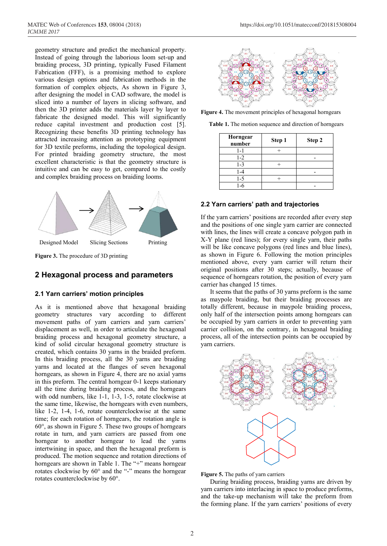geometry structure and predict the mechanical property. Instead of going through the laborious loom set-up and braiding process, 3D printing, typically Fused Filament Fabrication (FFF), is a promising method to explore various design options and fabrication methods in the formation of complex objects, As shown in Figure 3, after designing the model in CAD software, the model is sliced into a number of layers in slicing software, and then the 3D printer adds the materials layer by layer to fabricate the designed model. This will significantly reduce capital investment and production cost [5]. Recognizing these benefits 3D printing technology has attracted increasing attention as prototyping equipment for 3D textile preforms, including the topological design. For printed braiding geometry structure, the most excellent characteristic is that the geometry structure is intuitive and can be easy to get, compared to the costly and complex braiding process on braiding looms.



**Figure 3.** The procedure of 3D printing

# **2 Hexagonal process and parameters**

## **2.1 Yarn carriers' motion principles**

As it is mentioned above that hexagonal braiding geometry structures vary according to different movement paths of yarn carriers and yarn carriers' displacement as well, in order to articulate the hexagonal braiding process and hexagonal geometry structure, a kind of solid circular hexagonal geometry structure is created, which contains 30 yarns in the braided preform. In this braiding process, all the 30 yarns are braiding yarns and located at the flanges of seven hexagonal horngears, as shown in Figure 4, there are no axial yarns in this preform. The central horngear 0-1 keeps stationary all the time during braiding process, and the horngears with odd numbers, like 1-1, 1-3, 1-5, rotate clockwise at the same time, likewise, the horngears with even numbers, like 1-2, 1-4, 1-6, rotate counterclockwise at the same time; for each rotation of horngears, the rotation angle is 60°, as shown in Figure 5. These two groups of horngears rotate in turn, and yarn carriers are passed from one horngear to another horngear to lead the yarns intertwining in space, and then the hexagonal preform is produced. The motion sequence and rotation directions of horngears are shown in Table 1. The "+" means horngear rotates clockwise by 60° and the "-" means the horngear rotates counterclockwise by 60°.



**Figure 4.** The movement principles of hexagonal horngears

**Table 1.** The motion sequence and direction of horngears

| Horngear<br>number | Step 1 | Step 2 |
|--------------------|--------|--------|
| 1-1                |        |        |
| $1 - 2$            |        |        |
| $1 - 3$            |        |        |
| -4                 |        |        |
| 1-5                |        |        |
| -6                 |        |        |

#### **2.2 Yarn carriers' path and trajectories**

If the yarn carriers' positions are recorded after every step and the positions of one single yarn carrier are connected with lines, the lines will create a concave polygon path in X-Y plane (red lines); for every single yarn, their paths will be like concave polygons (red lines and blue lines), as shown in Figure 6. Following the motion principles mentioned above, every yarn carrier will return their original positions after 30 steps; actually, because of sequence of horngears rotation, the position of every yarn carrier has changed 15 times.

It seems that the paths of 30 yarns preform is the same as maypole braiding, but their braiding processes are totally different, because in maypole braiding process, only half of the intersection points among horngears can be occupied by yarn carriers in order to preventing yarn carrier collision, on the contrary, in hexagonal braiding process, all of the intersection points can be occupied by yarn carriers.



**Figure 5.** The paths of yarn carriers

During braiding process, braiding yarns are driven by yarn carriers into interlacing in space to produce preforms, and the take-up mechanism will take the preform from the forming plane. If the yarn carriers' positions of every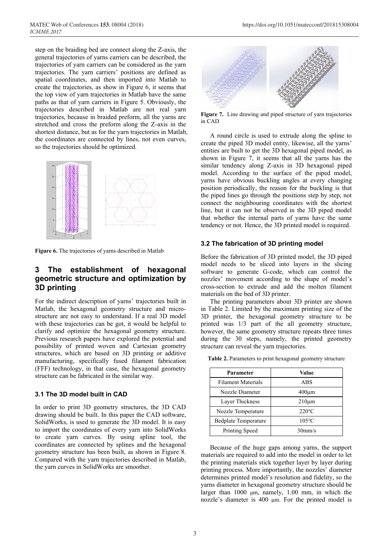step on the braiding bed are connect along the Z-axis, the general trajectories of yarns carriers can be described, the trajectories of yarn carriers can be considered as the yarn trajectories. The yarn carriers' positions are defined as spatial coordinates, and then imported into Matlab to create the trajectories, as show in Figure 6, it seems that the top view of yarn trajectories in Matlab have the same paths as that of yarn carriers in Figure 5. Obviously, the trajectories described in Matlab are not real yarn trajectories, because in braided preform, all the yarns are stretched and cross the preform along the Z-axis in the shortest distance, but as for the yarn trajectories in Matlab, the coordinates are connected by lines, not even curves, so the trajectories should be optimized.



**Figure 6.** The trajectories of yarns described in Matlab

# **3 The establishment of hexagonal geometric structure and optimization by 3D printing**

For the indirect description of yarns' trajectories built in Matlab, the hexagonal geometry structure and microstructure are not easy to understand. If a real 3D model with these trajectories can be got, it would be helpful to clarify and optimize the hexagonal geometry structure. Previous research papers have explored the potential and possibility of printed woven and Cartesian geometry structures, which are based on 3D printing or additive manufacturing, specifically fused filament fabrication (FFF) technology, in that case, the hexagonal geometry structure can be fabricated in the similar way.

## **3.1 The 3D model built in CAD**

In order to print 3D geometry structures, the 3D CAD drawing should be built. In this paper the CAD software, SolidWorks, is used to generate the 3D model. It is easy to import the coordinates of every yarn into SolidWorks to create yarn curves. By using spline tool, the coordinates are connected by splines and the hexagonal geometry structure has been built, as shown in Figure 8. Compared with the yarn trajectories described in Matlab, the yarn curves in SolidWorks are smoother.



**Figure 7.** Line drawing and piped structure of yarn trajectories in CAD

A round circle is used to extrude along the spline to create the piped 3D model entity, likewise, all the yarns' entities are built to get the 3D hexagonal piped model, as shown in Figure 7, it seems that all the yarns has the similar tendency along Z-axis in 3D hexagonal piped model. According to the surface of the piped model, yarns have obvious buckling angles at every changing position periodically, the reason for the buckling is that the piped lines go through the positions step by step, not connect the neighbouring coordinates with the shortest line, but it can not be observed in the 3D piped model that whether the internal parts of yarns have the same tendency or not. Hence, the 3D printed model is required.

#### **3.2 The fabrication of 3D printing model**

Before the fabrication of 3D printed model, the 3D piped model needs to be sliced into layers in the slicing software to generate G-code, which can control the nozzles' movement according to the shape of model's cross-section to extrude and add the molten filament materials on the bed of 3D printer.

The printing parameters about 3D printer are shown in Table 2. Limited by the maximum printing size of the 3D printer, the hexagonal geometry structure to be printed was 1/3 part of the all geometry structure, however, the same geometry structure repeats three times during the 30 steps, namely, the printed geometry structure can reveal the yarn trajectories.

| Parameter                   | Value              |  |
|-----------------------------|--------------------|--|
| <b>Filament Materials</b>   | ABS                |  |
| Nozzle Diameter             | $400 \mu m$        |  |
| Layer Thickness             | $210 \mu m$        |  |
| Nozzle Temperature          | $220^{\circ}$ C    |  |
| <b>Bedplate Temperature</b> | $105^{\circ}$ C    |  |
| Printing Speed              | 30 <sub>mm/s</sub> |  |

**Table 2.** Parameters to print hexagonal geometry structure

Because of the huge gaps among yarns, the support materials are required to add into the model in order to let the printing materials stick together layer by layer during printing process. More importantly, the nozzles' diameter determines printed model's resolution and fidelity, so the yarns diameter in hexagonal geometry structure should be larger than 1000 μm, namely, 1.00 mm, in which the nozzle's diameter is 400 μm. For the printed model is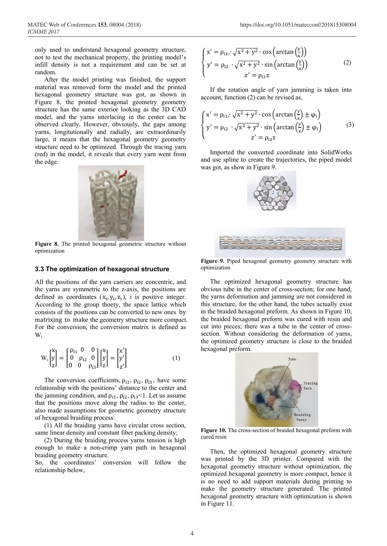only used to understand hexagonal geometry structure, not to test the mechanical property, the printing model's infill density is not a requirement and can be set at random.

After the model printing was finished, the support material was removed form the model and the printed hexagonal geometry structure was got, as shown in Figure 8, the printed hexagonal geometry geometry structure has the same exterior looking as the 3D CAD model, and the yarns interlacing in the center can be observed clearly. However, obviously, the gaps among yarns, longitutionally and radially, are extraordinarily large, it means that the hexagonal geometry geometry structure need to be optimized. Through the tracing yarn (red) in the model, it reveals that every yarn went from the edge.



Figure 8. The printed hexagonal geometric structure without optimization

#### **3.3 The optimization of hexagonal structure**

All the positions of the yarn carriers are concentric, and the yarns are symmetric to the z-axis, the positions are defined as coordinates  $(x_i, y_i, z_i)$ , i is positive integer. According to the group thoery, the space lattice which consists of the positions can be converted to new ones by matrixing to make the geometry structure more compact. For the conversion, the conversion matrix is defined as  $W_i$ .

$$
W_{i}\begin{bmatrix} x \\ y \\ z \end{bmatrix} = \begin{bmatrix} \rho_{i1} & 0 & 0 \\ 0 & \rho_{i2} & 0 \\ 0 & 0 & \rho_{i3} \end{bmatrix} \begin{bmatrix} x \\ y \\ z \end{bmatrix} = \begin{bmatrix} x' \\ y' \\ z' \end{bmatrix}
$$
 (1)

The conversion coefficients,  $\rho_{i1}$ ,  $\rho_{i2}$ ,  $\rho_{i3}$ , have some relationship with the positions' distance to the center and the jamming condition, and  $\rho_{i1}$ ,  $\rho_{i2}$ ,  $\rho_{i3}$ <1. Let us assume that the positions move along the radius to the center, also made assumptions for geometric geometry structure of hexagonal braiding process:

(1) All the braiding yarns have circular cross section, same linear density and constant fiber packing density;

(2) During the braiding process yarns tension is high enough to make a non-crimp yarn path in hexagonal braiding geometry structure.

So, the coordinates' conversion will follow the relationship below,

 $\mathbb{R}^2$ 

$$
\begin{cases}\nx' = \rho_{11} \cdot \sqrt{x^2 + y^2} \cdot \cos\left(\arctan\left(\frac{y}{x}\right)\right) \\
y' = \rho_{12} \cdot \sqrt{x^2 + y^2} \cdot \sin\left(\arctan\left(\frac{y}{x}\right)\right) \\
z' = \rho_{13}z\n\end{cases} \tag{2}
$$

If the rotation angle of yarn jamming is taken into account, function (2) can be revised as,

$$
\begin{cases}\nx' = \rho_{11} \cdot \sqrt{x^2 + y^2} \cdot \cos\left(\arctan\left(\frac{y}{x}\right) \pm \varphi_1\right) \\
y' = \rho_{12} \cdot \sqrt{x^2 + y^2} \cdot \sin\left(\arctan\left(\frac{y}{x}\right) \pm \varphi_1\right) \\
z' = \rho_{13} z\n\end{cases} \tag{3}
$$

Imported the converted coordinate into SolidWorks and use spline to create the trajectories, the piped model was got, as show in Figure 9.



**Figure 9.** Piped hexagonal geometry geometry structure with optimization

The optimized hexagonal geometry structure has obvious tube in the center of cross-section; for one hand, the yarns deformation and jamming are not considered in this structure, for the other hand, the tubes actually exist in the braided hexagonal preform. As shown in Figure 10, the braided hexagonal preform was cured with resin and cut into pieces; there was a tube in the center of crosssection. Without considering the deformation of yarns, the optimized geometry structure is close to the braided hexagonal preform.



**Figure 10.** The cross-section of braided hexagonal preform with cured resin

Then, the optimized hexagonal geometry structure was printed by the 3D printer. Compared with the hexagonal geometry structure without optimization, the optimized hexagonal geometry is more compact, hence it is no need to add support materials during printing to make the geometry structure generated. The printed hexagonal geometry structure with optimization is shown in Figure 11.